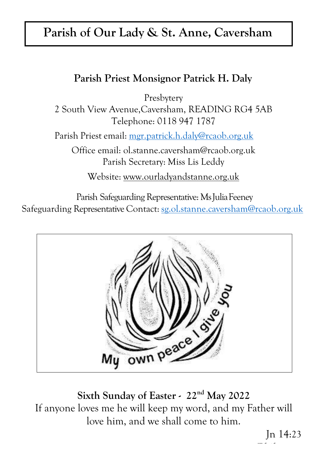# **Parish of Our Lady & St. Anne, Caversham**

# **Parish Priest Monsignor Patrick H. Daly**

Presbytery

2 South View Avenue,Caversham, READING RG4 5AB Telephone: 0118 947 1787

Parish Priest email: [mgr.patrick.h.daly@rcaob.org.uk](mailto:mgr.patrick.h.daly@rcaob.org.uk)

Office email: [ol.stanne.caversham@rcaob.org.uk](mailto:ol.stanne.caversham@rcaob.org.uk) Parish Secretary: Miss Lis Leddy

Website: [www.ourladyandstanne.org.uk](http://www.ourladyandstanne.org.uk/)

Parish Safeguarding Representative: Ms Julia Feeney Safeguarding Representative Contact: [sg.ol.stanne.caversham@rcaob.org.uk](mailto:sg.ol.stanne.caversham@rcaob.org.uk)



**Sixth Sunday of Easter - 22nd May 2022** If anyone loves me he will keep my word, and my Father will love him, and we shall come to him.

Jn 14:23 **Phil 2, 8-9**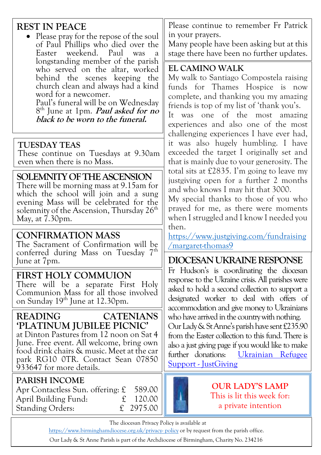# **REST IN PEACE**

 Please pray for the repose of the soul of Paul Phillips who died over the Easter weekend. Paul was a longstanding member of the parish who served on the altar, worked behind the scenes keeping the church clean and always had a kind word for a newcomer. Paul's funeral will be on Wednesday

8 th June at 1pm. **Paul asked for no black to be worn to the funeral.**

#### **TUESDAY TEAS**

These continue on Tuesdays at 9.30am even when there is no Mass.

#### **SOLEMNITY OF THE ASCENSION**

There will be morning mass at 9.15am for which the school will join and a sung evening Mass will be celebrated for the solemnity of the Ascension, Thursday 26<sup>th</sup> May, at 7.30pm.

### **CONFIRMATION MASS**

The Sacrament of Confirmation will be conferred during Mass on Tuesday 7<sup>th</sup> June at 7pm.

### **FIRST HOLY COMMUION**

There will be a separate First Holy Communion Mass for all those involved on Sunday 19<sup>th</sup> June at 12.30pm.

## **READING CATENIANS 'PLATINUM JUBILEE PICNIC'**

at Dinton Pastures from 12 noon on Sat 4 June. Free event. All welcome, bring own food drink chairs & music. Meet at the car park RG10 0TR. Contact Sean 07850 933647 for more details.

#### **PARISH INCOME**

Apr Contactless Sun. offering: £ 589.00 April Building Fund: £ 120.00 Standing Orders: £ 2975.00

Please continue to remember Fr Patrick in your prayers.

Many people have been asking but at this stage there have been no further updates.

#### **EL CAMINO WALK**

My walk to Santiago Compostela raising funds for Thames Hospice is now complete, and thanking you my amazing friends is top of my list of 'thank you's. It was one of the most amazing experiences and also one of the most challenging experiences I have ever had, it was also hugely humbling. I have exceeded the target I originally set and that is mainly due to your generosity. The total sits at £2835. I'm going to leave my justgiving open for a further 2 months and who knows I may hit that 3000.

My special thanks to those of you who prayed for me, as there were moments when I struggled and I know I needed you then.

[https://www.justgiving.com/fundraising](https://www.justgiving.com/fundraising/margaret-thomas9) [/margaret-thomas9](https://www.justgiving.com/fundraising/margaret-thomas9)

# **DIOCESAN UKRAINERESPONSE**

Fr Hudson's is coordinating the diocesan response to the Ukraine crisis. All parishes were asked to hold a second collection to support a designated worker to deal with offers of accommodation and give money to Ukrainians who have arrived in the country with nothing. Our Lady & St Anne's parish have sent £235.90 from the Easter collection to this fund. There is also a just giving page if you would like to make further donations: [Ukrainian Refugee](https://www.justgiving.com/campaign/aobukrainianappeal)  Support - [JustGiving](https://www.justgiving.com/campaign/aobukrainianappeal)

**OUR LADY'S LAMP** This is lit this week for: a private intention

The diocesan Privacy Policy is available at

http[s://www.birminghamdiocese.org.uk/privacy-](http://www.birminghamdiocese.org.uk/privacy-policy) [policy](http://www.birminghamdiocese.org.uk/privacy-policy) or by request from the parish office.

Our Lady & St Anne Parish is part of the Archdiocese of Birmingham, Charity No. 234216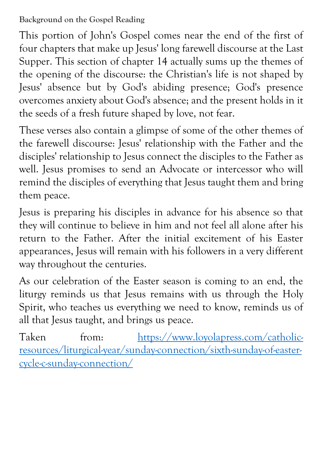# **Background on the Gospel Reading**

This portion of John's Gospel comes near the end of the first of four chapters that make up Jesus' long farewell discourse at the Last Supper. This section of chapter 14 actually sums up the themes of the opening of the discourse: the Christian's life is not shaped by Jesus' absence but by God's abiding presence; God's presence overcomes anxiety about God's absence; and the present holds in it the seeds of a fresh future shaped by love, not fear.

These verses also contain a glimpse of some of the other themes of the farewell discourse: Jesus' relationship with the Father and the disciples' relationship to Jesus connect the disciples to the Father as well. Jesus promises to send an Advocate or intercessor who will remind the disciples of everything that Jesus taught them and bring them peace.

Jesus is preparing his disciples in advance for his absence so that they will continue to believe in him and not feel all alone after his return to the Father. After the initial excitement of his Easter appearances, Jesus will remain with his followers in a very different way throughout the centuries.

As our celebration of the Easter season is coming to an end, the liturgy reminds us that Jesus remains with us through the Holy Spirit, who teaches us everything we need to know, reminds us of all that Jesus taught, and brings us peace.

Taken from: [https://www.loyolapress.com/catholic](https://www.loyolapress.com/catholic-resources/liturgical-year/sunday-connection/sixth-sunday-of-easter-cycle-c-sunday-connection/)[resources/liturgical-year/sunday-connection/sixth-sunday-of-easter](https://www.loyolapress.com/catholic-resources/liturgical-year/sunday-connection/sixth-sunday-of-easter-cycle-c-sunday-connection/)[cycle-c-sunday-connection/](https://www.loyolapress.com/catholic-resources/liturgical-year/sunday-connection/sixth-sunday-of-easter-cycle-c-sunday-connection/)